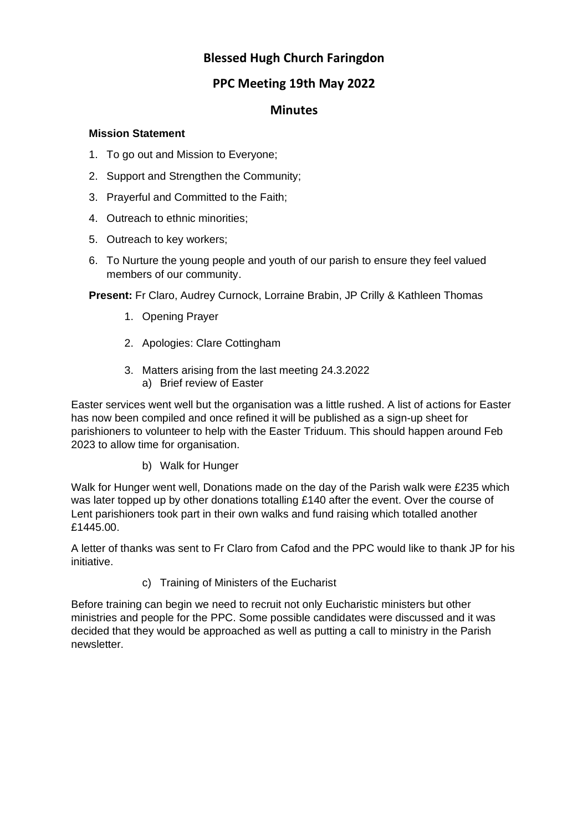# **Blessed Hugh Church Faringdon**

# **PPC Meeting 19th May 2022**

## **Minutes**

#### **Mission Statement**

- 1. To go out and Mission to Everyone;
- 2. Support and Strengthen the Community;
- 3. Prayerful and Committed to the Faith;
- 4. Outreach to ethnic minorities;
- 5. Outreach to key workers;
- 6. To Nurture the young people and youth of our parish to ensure they feel valued members of our community.

**Present:** Fr Claro, Audrey Curnock, Lorraine Brabin, JP Crilly & Kathleen Thomas

- 1. Opening Prayer
- 2. Apologies: Clare Cottingham
- 3. Matters arising from the last meeting 24.3.2022 a) Brief review of Easter

Easter services went well but the organisation was a little rushed. A list of actions for Easter has now been compiled and once refined it will be published as a sign-up sheet for parishioners to volunteer to help with the Easter Triduum. This should happen around Feb 2023 to allow time for organisation.

b) Walk for Hunger

Walk for Hunger went well, Donations made on the day of the Parish walk were £235 which was later topped up by other donations totalling £140 after the event. Over the course of Lent parishioners took part in their own walks and fund raising which totalled another £1445.00.

A letter of thanks was sent to Fr Claro from Cafod and the PPC would like to thank JP for his initiative.

c) Training of Ministers of the Eucharist

Before training can begin we need to recruit not only Eucharistic ministers but other ministries and people for the PPC. Some possible candidates were discussed and it was decided that they would be approached as well as putting a call to ministry in the Parish newsletter.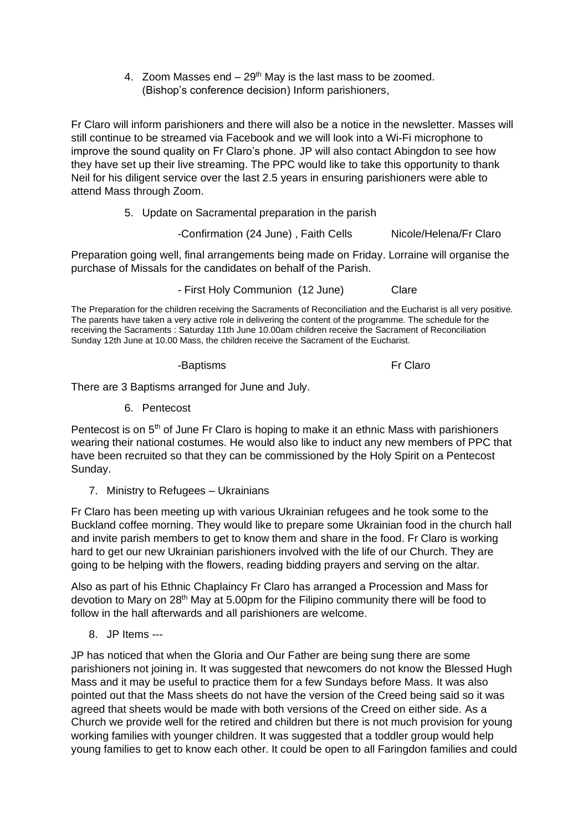4. Zoom Masses end  $-29<sup>th</sup>$  May is the last mass to be zoomed. (Bishop's conference decision) Inform parishioners,

Fr Claro will inform parishioners and there will also be a notice in the newsletter. Masses will still continue to be streamed via Facebook and we will look into a Wi-Fi microphone to improve the sound quality on Fr Claro's phone. JP will also contact Abingdon to see how they have set up their live streaming. The PPC would like to take this opportunity to thank Neil for his diligent service over the last 2.5 years in ensuring parishioners were able to attend Mass through Zoom.

5. Update on Sacramental preparation in the parish

-Confirmation (24 June), Faith Cells Nicole/Helena/Fr Claro

Preparation going well, final arrangements being made on Friday. Lorraine will organise the purchase of Missals for the candidates on behalf of the Parish.

- First Holy Communion (12 June) Clare

The Preparation for the children receiving the Sacraments of Reconciliation and the Eucharist is all very positive. The parents have taken a very active role in delivering the content of the programme. The schedule for the receiving the Sacraments : Saturday 11th June 10.00am children receive the Sacrament of Reconciliation Sunday 12th June at 10.00 Mass, the children receive the Sacrament of the Eucharist.

-Baptisms Fr Claro

There are 3 Baptisms arranged for June and July.

6. Pentecost

Pentecost is on 5<sup>th</sup> of June Fr Claro is hoping to make it an ethnic Mass with parishioners wearing their national costumes. He would also like to induct any new members of PPC that have been recruited so that they can be commissioned by the Holy Spirit on a Pentecost Sunday.

7. Ministry to Refugees – Ukrainians

Fr Claro has been meeting up with various Ukrainian refugees and he took some to the Buckland coffee morning. They would like to prepare some Ukrainian food in the church hall and invite parish members to get to know them and share in the food. Fr Claro is working hard to get our new Ukrainian parishioners involved with the life of our Church. They are going to be helping with the flowers, reading bidding prayers and serving on the altar.

Also as part of his Ethnic Chaplaincy Fr Claro has arranged a Procession and Mass for devotion to Mary on 28<sup>th</sup> May at 5.00pm for the Filipino community there will be food to follow in the hall afterwards and all parishioners are welcome.

8. JP Items ---

JP has noticed that when the Gloria and Our Father are being sung there are some parishioners not joining in. It was suggested that newcomers do not know the Blessed Hugh Mass and it may be useful to practice them for a few Sundays before Mass. It was also pointed out that the Mass sheets do not have the version of the Creed being said so it was agreed that sheets would be made with both versions of the Creed on either side. As a Church we provide well for the retired and children but there is not much provision for young working families with younger children. It was suggested that a toddler group would help young families to get to know each other. It could be open to all Faringdon families and could